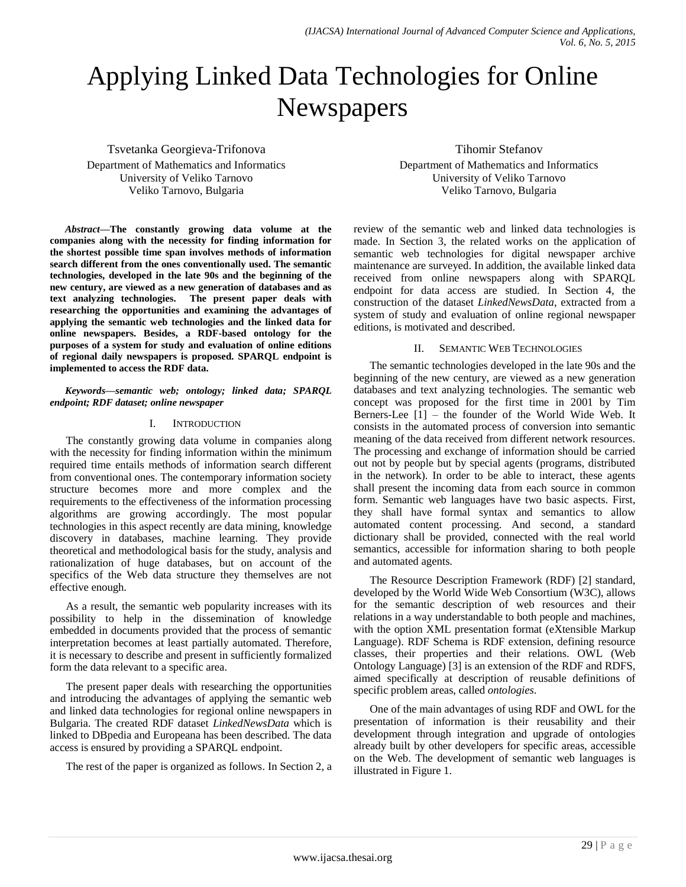# Applying Linked Data Technologies for Online Newspapers

Tsvetanka Georgieva-Trifonova Department of Mathematics and Informatics University of Veliko Tarnovo Veliko Tarnovo, Bulgaria

*Abstract***—The constantly growing data volume at the companies along with the necessity for finding information for the shortest possible time span involves methods of information search different from the ones conventionally used. The semantic technologies, developed in the late 90s and the beginning of the new century, are viewed as a new generation of databases and as text analyzing technologies. The present paper deals with researching the opportunities and examining the advantages of applying the semantic web technologies and the linked data for online newspapers. Besides, a RDF-based ontology for the purposes of a system for study and evaluation of online editions of regional daily newspapers is proposed. SPARQL endpoint is implemented to access the RDF data.**

#### *Keywords—semantic web; ontology; linked data; SPARQL endpoint; RDF dataset; online newspaper*

### I. INTRODUCTION

The constantly growing data volume in companies along with the necessity for finding information within the minimum required time entails methods of information search different from conventional ones. The contemporary information society structure becomes more and more complex and the requirements to the effectiveness of the information processing algorithms are growing accordingly. The most popular technologies in this aspect recently are data mining, knowledge discovery in databases, machine learning. They provide theoretical and methodological basis for the study, analysis and rationalization of huge databases, but on account of the specifics of the Web data structure they themselves are not effective enough.

As a result, the semantic web popularity increases with its possibility to help in the dissemination of knowledge embedded in documents provided that the process of semantic interpretation becomes at least partially automated. Therefore, it is necessary to describe and present in sufficiently formalized form the data relevant to a specific area.

The present paper deals with researching the opportunities and introducing the advantages of applying the semantic web and linked data technologies for regional online newspapers in Bulgaria. The created RDF dataset *LinkedNewsData* which is linked to DBpedia and Europeana has been described. The data access is ensured by providing a SPARQL endpoint.

The rest of the paper is organized as follows. In Section 2, a

Tihomir Stefanov Department of Mathematics and Informatics University of Veliko Tarnovo Veliko Tarnovo, Bulgaria

review of the semantic web and linked data technologies is made. In Section 3, the related works on the application of semantic web technologies for digital newspaper archive maintenance are surveyed. In addition, the available linked data received from online newspapers along with SPARQL endpoint for data access are studied. In Section 4, the construction of the dataset *LinkedNewsData*, extracted from a system of study and evaluation of online regional newspaper editions, is motivated and described.

## II. SEMANTIC WEB TECHNOLOGIES

The semantic technologies developed in the late 90s and the beginning of the new century, are viewed as a new generation databases and text analyzing technologies. The semantic web concept was proposed for the first time in 2001 by Tim Berners-Lee [1] – the founder of the World Wide Web. It consists in the automated process of conversion into semantic meaning of the data received from different network resources. The processing and exchange of information should be carried out not by people but by special agents (programs, distributed in the network). In order to be able to interact, these agents shall present the incoming data from each source in common form. Semantic web languages have two basic aspects. First, they shall have formal syntax and semantics to allow automated content processing. And second, a standard dictionary shall be provided, connected with the real world semantics, accessible for information sharing to both people and automated agents.

The Resource Description Framework (RDF) [2] standard, developed by the World Wide Web Consortium (W3C), allows for the semantic description of web resources and their relations in a way understandable to both people and machines, with the option XML presentation format (eXtensible Markup Language). RDF Schema is RDF extension, defining resource classes, their properties and their relations. OWL (Web Ontology Language) [3] is an extension of the RDF and RDFS, aimed specifically at description of reusable definitions of specific problem areas, called *ontologies*.

One of the main advantages of using RDF and OWL for the presentation of information is their reusability and their development through integration and upgrade of ontologies already built by other developers for specific areas, accessible on the Web. The development of semantic web languages is illustrated in Figure 1.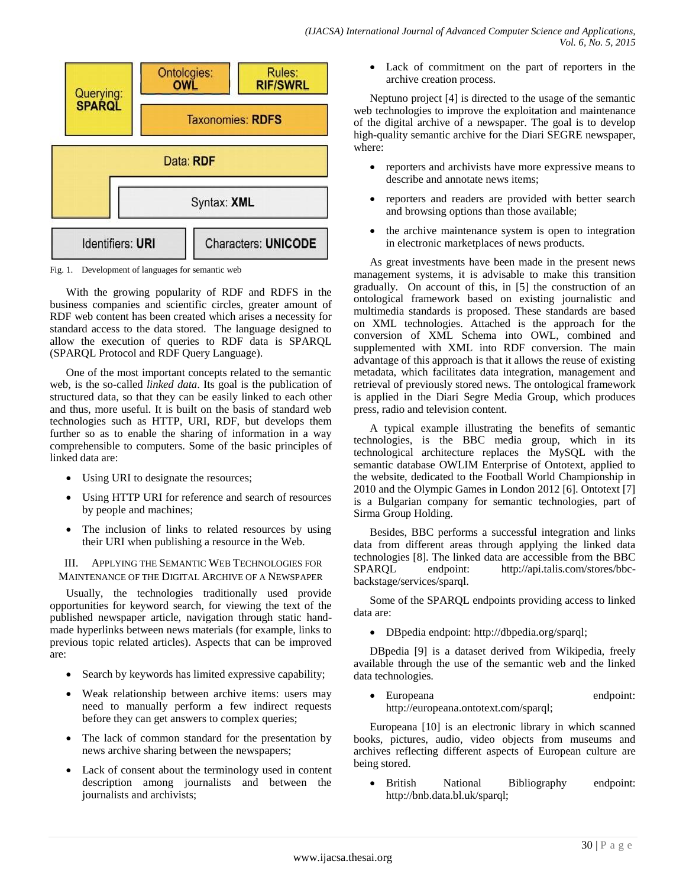

Fig. 1. Development of languages for semantic web

With the growing popularity of RDF and RDFS in the business companies and scientific circles, greater amount of RDF web content has been created which arises a necessity for standard access to the data stored. The language designed to allow the execution of queries to RDF data is SPARQL (SPARQL Protocol and RDF Query Language).

One of the most important concepts related to the semantic web, is the so-called *linked data*. Its goal is the publication of structured data, so that they can be easily linked to each other and thus, more useful. It is built on the basis of standard web technologies such as HTTP, URI, RDF, but develops them further so as to enable the sharing of information in a way comprehensible to computers. Some of the basic principles of linked data are:

- Using URI to designate the resources;
- Using HTTP URI for reference and search of resources by people and machines;
- The inclusion of links to related resources by using their URI when publishing a resource in the Web.

III. APPLYING THE SEMANTIC WEB TECHNOLOGIES FOR MAINTENANCE OF THE DIGITAL ARCHIVE OF A NEWSPAPER

Usually, the technologies traditionally used provide opportunities for keyword search, for viewing the text of the published newspaper article, navigation through static handmade hyperlinks between news materials (for example, links to previous topic related articles). Aspects that can be improved are:

- Search by keywords has limited expressive capability;
- Weak relationship between archive items: users may need to manually perform a few indirect requests before they can get answers to complex queries;
- The lack of common standard for the presentation by news archive sharing between the newspapers;
- Lack of consent about the terminology used in content description among journalists and between the journalists and archivists;

 Lack of commitment on the part of reporters in the archive creation process.

Neptuno project [4] is directed to the usage of the semantic web technologies to improve the exploitation and maintenance of the digital archive of a newspaper. The goal is to develop high-quality semantic archive for the Diari SEGRE newspaper, where:

- reporters and archivists have more expressive means to describe and annotate news items;
- reporters and readers are provided with better search and browsing options than those available;
- the archive maintenance system is open to integration in electronic marketplaces of news products.

As great investments have been made in the present news management systems, it is advisable to make this transition gradually. On account of this, in [5] the construction of an ontological framework based on existing journalistic and multimedia standards is proposed. These standards are based on XML technologies. Attached is the approach for the conversion of XML Schema into OWL, combined and supplemented with XML into RDF conversion. The main advantage of this approach is that it allows the reuse of existing metadata, which facilitates data integration, management and retrieval of previously stored news. The ontological framework is applied in the Diari Segre Media Group, which produces press, radio and television content.

A typical example illustrating the benefits of semantic technologies, is the BBC media group, which in its technological architecture replaces the MySQL with the semantic database OWLIM Enterprise of Ontotext, applied to the website, dedicated to the Football World Championship in 2010 and the Olympic Games in London 2012 [6]. Ontotext [7] is a Bulgarian company for semantic technologies, part of Sirma Group Holding.

Besides, BBC performs a successful integration and links data from different areas through applying the linked data technologies [8]. The linked data are accessible from the BBC SPARQL endpoint: http://api.talis.com/stores/bbcbackstage/services/sparql.

Some of the SPARQL endpoints providing access to linked data are:

• DBpedia endpoint: http://dbpedia.org/sparql;

DBpedia [9] is a dataset derived from Wikipedia, freely available through the use of the semantic web and the linked data technologies.

 Europeana endpoint: http://europeana.ontotext.com/sparql;

Europeana [10] is an electronic library in which scanned books, pictures, audio, video objects from museums and archives reflecting different aspects of European culture are being stored.

• British National Bibliography endpoint: http://bnb.data.bl.uk/sparql;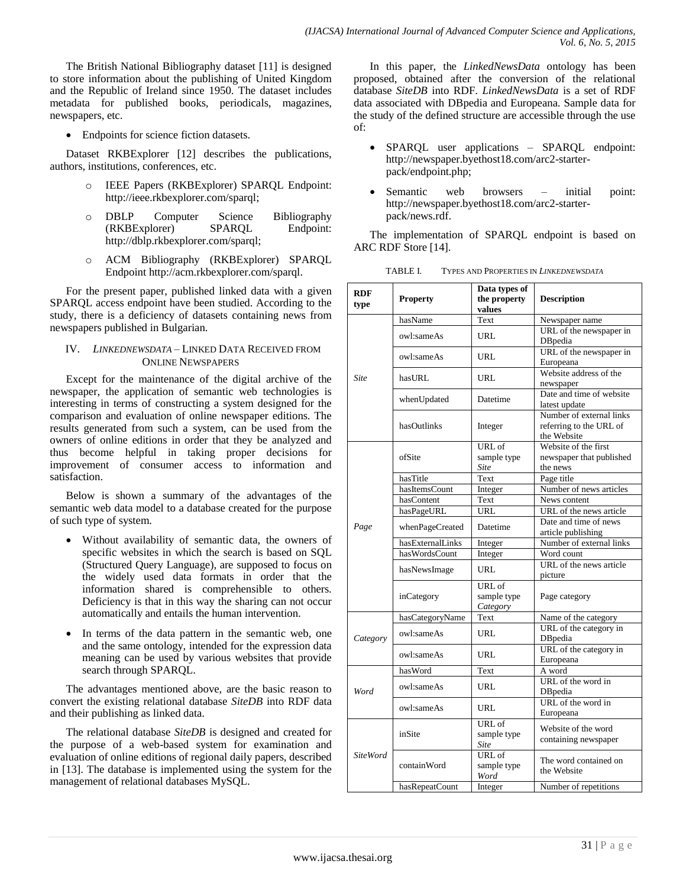The British National Bibliography dataset [11] is designed to store information about the publishing of United Kingdom and the Republic of Ireland since 1950. The dataset includes metadata for published books, periodicals, magazines, newspapers, etc.

Endpoints for science fiction datasets.

Dataset RKBExplorer [12] describes the publications, authors, institutions, conferences, etc.

- IEEE Papers (RKBExplorer) SPARQL Endpoint: http://ieee.rkbexplorer.com/sparql;
- o DBLP Computer Science Bibliography (RKBExplorer) SPARQL Endpoint: http://dblp.rkbexplorer.com/sparql;
- o ACM Bibliography (RKBExplorer) SPARQL Endpoint http://acm.rkbexplorer.com/sparql.

For the present paper, published linked data with a given SPARQL access endpoint have been studied. According to the study, there is a deficiency of datasets containing news from newspapers published in Bulgarian.

## IV. *LINKEDNEWSDATA* – LINKED DATA RECEIVED FROM ONLINE NEWSPAPERS

Except for the maintenance of the digital archive of the newspaper, the application of semantic web technologies is interesting in terms of constructing a system designed for the comparison and evaluation of online newspaper editions. The results generated from such a system, can be used from the owners of online editions in order that they be analyzed and thus become helpful in taking proper decisions for improvement of consumer access to information and satisfaction.

Below is shown a summary of the advantages of the semantic web data model to a database created for the purpose of such type of system.

- Without availability of semantic data, the owners of specific websites in which the search is based on SQL (Structured Query Language), are supposed to focus on the widely used data formats in order that the information shared is comprehensible to others. Deficiency is that in this way the sharing can not occur automatically and entails the human intervention.
- In terms of the data pattern in the semantic web, one and the same ontology, intended for the expression data meaning can be used by various websites that provide search through SPARQL.

The advantages mentioned above, are the basic reason to convert the existing relational database *SiteDB* into RDF data and their publishing as linked data.

The relational database *SiteDB* is designed and created for the purpose of a web-based system for examination and evaluation of online editions of regional daily papers, described in [13]. The database is implemented using the system for the management of relational databases MySQL.

In this paper, the *LinkedNewsData* ontology has been proposed, obtained after the conversion of the relational database *SiteDB* into RDF. *LinkedNewsData* is a set of RDF data associated with DBpedia and Europeana. Sample data for the study of the defined structure are accessible through the use of:

- SPARQL user applications SPARQL endpoint: http://newspaper.byethost18.com/arc2-starterpack/endpoint.php;
- Semantic web browsers initial point: http://newspaper.byethost18.com/arc2-starterpack/news.rdf.

The implementation of SPARQL endpoint is based on ARC RDF Store [14].

| TABLE I. | <b>TYPES AND PROPERTIES IN LINKEDNEWSDATA</b> |  |
|----------|-----------------------------------------------|--|
|          |                                               |  |

| <b>RDF</b>      |                  | Data types of                        |                                                                    |  |
|-----------------|------------------|--------------------------------------|--------------------------------------------------------------------|--|
| type            | <b>Property</b>  | the property<br>values               | <b>Description</b>                                                 |  |
| <b>Site</b>     | hasName          | Text                                 | Newspaper name                                                     |  |
|                 | owl:sameAs       | <b>URL</b>                           | URL of the newspaper in<br>DBpedia                                 |  |
|                 | owl:sameAs       | URL                                  | URL of the newspaper in<br>Europeana                               |  |
|                 | hasURL           | URL                                  | Website address of the<br>newspaper                                |  |
|                 | whenUpdated      | Datetime                             | Date and time of website<br>latest update                          |  |
|                 | hasOutlinks      | Integer                              | Number of external links<br>referring to the URL of<br>the Website |  |
|                 |                  | URL of                               | Website of the first                                               |  |
|                 | ofSite           | sample type                          | newspaper that published                                           |  |
|                 |                  | Site                                 | the news                                                           |  |
|                 | hasTitle         | Text                                 | Page title                                                         |  |
|                 | hasItemsCount    | Integer                              | Number of news articles                                            |  |
|                 | hasContent       | Text                                 | News content                                                       |  |
|                 | hasPageURL       | <b>URL</b>                           | URL of the news article                                            |  |
| Page            | whenPageCreated  | Datetime                             | Date and time of news<br>article publishing                        |  |
|                 | hasExternalLinks | Integer                              | Number of external links                                           |  |
|                 | hasWordsCount    | Integer                              | Word count                                                         |  |
|                 | hasNewsImage     | URL                                  | URL of the news article<br>picture                                 |  |
|                 | inCategory       | URL of<br>sample type<br>Category    | Page category                                                      |  |
|                 | hasCategoryName  | Text                                 | Name of the category                                               |  |
| Category        | owl:sameAs       | <b>URL</b>                           | URL of the category in<br><b>DB</b> pedia                          |  |
|                 | owl:sameAs       | URL                                  | URL of the category in<br>Europeana                                |  |
|                 | hasWord          | Text                                 | A word                                                             |  |
| Word            | owl:sameAs       | <b>URL</b>                           | URL of the word in<br>DBpedia                                      |  |
|                 | owl:sameAs       | URL                                  | URL of the word in<br>Europeana                                    |  |
| <b>SiteWord</b> | inSite           | URL of<br>sample type<br><b>Site</b> | Website of the word<br>containing newspaper                        |  |
|                 | containWord      | URL of<br>sample type<br>Word        | The word contained on<br>the Website                               |  |
|                 | hasRepeatCount   | Integer                              | Number of repetitions                                              |  |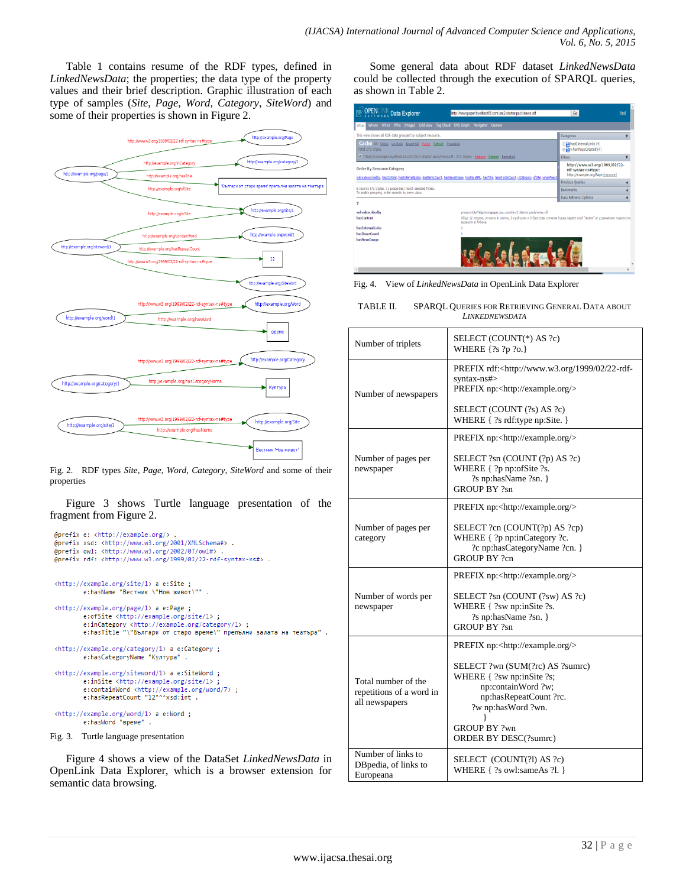Table 1 contains resume of the RDF types, defined in *LinkedNewsData*; the properties; the data type of the property values and their brief description. Graphic illustration of each type of samples (*Site*, *Page*, *Word*, *Category*, *SiteWord*) and some of their properties is shown in Figure 2.



Fig. 2. RDF types *Site*, *Page*, *Word*, *Category*, *SiteWord* and some of their properties

Figure 3 shows Turtle language presentation of the fragment from Figure 2.

```
@prefix e: <http://example.org/>.
 @prefix xsd: <http://www.w3.org/2001/XMLSchema#> .
 @prefix owl: <http://www.w3.org/2002/07/owl#>
 @prefix rdf: <http://www.w3.org/1999/02/22-rdf-syntax-ns#>.
 <http://example.org/site/1> a e:Site ;
           e:hasName "Вестник \"Нов живот\""
 <http://example.org/page/1> a e:Page ;
           e:ofSite <http://example.org/site/1>;
          e:inCategory <http://example.org/category/1> ;<br>e:inCategory <http://example.org/category/1> ;<br>e:hasTitle "\"Българи от старо време\" препълни залата на театъра" .
 <http://example.org/category/1> a e:Category ;
           e:hasCategoryName "Култура".
 <http://example.org/siteword/1> a e:SiteWord ;
           e:inSite <http://example.org/site/1>
          e:containWord <http://example.org/word/7>;<br>e:containWord <http://example.org/word/7>;
 <http://example.org/word/1> a e:Word ;
           e:hasWord "време" .
Fig. 3. Turtle language presentation
```
Figure 4 shows a view of the DataSet *LinkedNewsData* in OpenLink Data Explorer, which is a browser extension for semantic data browsing.

Some general data about RDF dataset *LinkedNewsData* could be collected through the execution of SPARQL queries, as shown in Table 2.

| OPENLINK Data Explorer                                                                                                                                                                                      | http://newspaper.byethost18.com/arc2-starter-pack/news.rdf                                                                                  | Go                                                                | Find |
|-------------------------------------------------------------------------------------------------------------------------------------------------------------------------------------------------------------|---------------------------------------------------------------------------------------------------------------------------------------------|-------------------------------------------------------------------|------|
| Where When Who Images Grid view Tag Cloud SVG Graph Navigator Custom<br>What                                                                                                                                |                                                                                                                                             |                                                                   |      |
| This view shows all RDF data grouped by subject resource.                                                                                                                                                   |                                                                                                                                             | Categories                                                        |      |
| Cache All: Check Uncheck Invert Sel Purge Refresh Permalink<br>Total 271 triples                                                                                                                            |                                                                                                                                             | B PhasExternalLinks (4)<br>B WhenPageCreated (4)                  |      |
| http://newspaper.byethost18.com/arc2-starter-pack/news.rdf - 271 triples - Remove - Refresh - Permaink                                                                                                      |                                                                                                                                             | Filters                                                           |      |
| <b>Order By Resource Category</b><br>rdf-syntax-ns#type:<br>wdrs:describedby, hasContent, hasExternalLinks, hasItemsCount, hasNewsImage, hasPageURL, hasTitle, hasWordsCount, inCategory, ofSite, whenPageO |                                                                                                                                             | http://www.w3.org/1999/02/22-<br>http://example.org/Page [remove] |      |
|                                                                                                                                                                                                             |                                                                                                                                             | Previous Queries                                                  |      |
| 6 records (71 triples, 71 properties) match selected filters.<br>To enable grouping, order records by some value.                                                                                           |                                                                                                                                             | <b>Bookmarks</b>                                                  |      |
|                                                                                                                                                                                                             |                                                                                                                                             | Data Retrieval Options                                            |      |
| $\overline{7}$                                                                                                                                                                                              |                                                                                                                                             |                                                                   |      |
| wdrs:describedby                                                                                                                                                                                            | proxy:entity/http/newspaper.bycom/arc2-starter-pack/news.rdf                                                                                |                                                                   |      |
| hasContent                                                                                                                                                                                                  | Общо 12 медала, от които 4 златни, 2 сребърни и 6 бронзови спечели Годжу карате клуб "Алеко" от държавното първенстви<br>възрасти в Албена. |                                                                   |      |
| hasExternalLinks                                                                                                                                                                                            |                                                                                                                                             |                                                                   |      |
| hasItemsCount                                                                                                                                                                                               |                                                                                                                                             |                                                                   |      |
| hasNewsImage                                                                                                                                                                                                |                                                                                                                                             |                                                                   |      |

Fig. 4. View of *LinkedNewsData* in OpenLink Data Explorer

| Number of triplets                                                | SELECT (COUNT(*) AS ?c)<br>WHERE { ?s ?p ?o.}                                                                                                                                             |
|-------------------------------------------------------------------|-------------------------------------------------------------------------------------------------------------------------------------------------------------------------------------------|
| Number of newspapers                                              | PREFIX rdf: <http: 02="" 1999="" 22-rdf-<br="" www.w3.org="">syntax-ns#&gt;<br/>PREFIX np:<http: example.org=""></http:></http:>                                                          |
|                                                                   | SELECT (COUNT (?s) AS ?c)<br>WHERE { ?s rdf:type np:Site. }                                                                                                                               |
|                                                                   | PREFIX np: <http: example.org=""></http:>                                                                                                                                                 |
| Number of pages per<br>newspaper                                  | SELECT ?sn (COUNT (?p) AS ?c)<br>WHERE { ?p np:ofSite ?s.<br>?s np:hasName ?sn. }<br><b>GROUP BY ?sn</b>                                                                                  |
|                                                                   | PREFIX np: <http: example.org=""></http:>                                                                                                                                                 |
| Number of pages per<br>category                                   | SELECT ?cn (COUNT(?p) AS ?cp)<br>WHERE { ?p np:inCategory ?c.<br>?c np:hasCategoryName ?cn. }<br><b>GROUP BY ?cn</b>                                                                      |
|                                                                   | PREFIX np: <http: example.org=""></http:>                                                                                                                                                 |
| Number of words per<br>newspaper                                  | SELECT ?sn (COUNT (?sw) AS ?c)<br>WHERE { ?sw np:inSite ?s.<br>?s np:hasName ?sn. }<br><b>GROUP BY ?sn</b>                                                                                |
|                                                                   | PREFIX np: <http: example.org=""></http:>                                                                                                                                                 |
| Total number of the<br>repetitions of a word in<br>all newspapers | SELECT ?wn (SUM(?rc) AS ?sumrc)<br>WHERE { ?sw np:inSite ?s;<br>np:containWord ?w;<br>np:hasRepeatCount ?rc.<br>?w np:hasWord ?wn.<br><b>GROUP BY ?wn</b><br><b>ORDER BY DESC(?sumrc)</b> |
| Number of links to<br>DBpedia, of links to<br>Europeana           | SELECT (COUNT(?l) AS ?c)<br>WHERE { ?s owl:sameAs ?l. }                                                                                                                                   |

| SPAROL QUERIES FOR RETRIEVING GENERAL DATA ABOUT |
|--------------------------------------------------|
| LINKEDNEWSDATA                                   |
|                                                  |